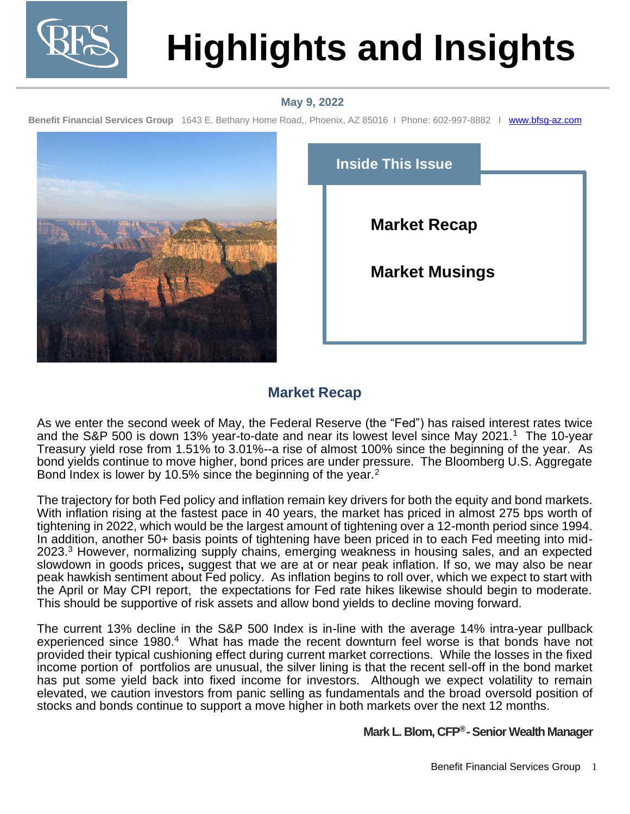

# **Highlights and Insights**

## **May 9, 2022**

**Benefit Financial Services Group** 1643 E. Bethany Home Road,, Phoenix, AZ 85016 I Phone: 602-997-8882 I [www.bfsg-az.com](http://www.bfsg-az.com/) 2021



| <b>Inside This Issue</b> |
|--------------------------|
| <b>Market Recap</b>      |
| <b>Market Musings</b>    |
|                          |

## **Market Recap**

As we enter the second week of May, the Federal Reserve (the "Fed") has raised interest rates twice and the S&P 500 is down 13% year-to-date and near its lowest level since May 2021.<sup>1</sup> The 10-year Treasury yield rose from 1.51% to 3.01%--a rise of almost 100% since the beginning of the year. As bond yields continue to move higher, bond prices are under pressure. The Bloomberg U.S. Aggregate Bond Index is lower by 10.5% since the beginning of the year. $2$ 

The trajectory for both Fed policy and inflation remain key drivers for both the equity and bond markets. With inflation rising at the fastest pace in 40 years, the market has priced in almost 275 bps worth of tightening in 2022, which would be the largest amount of tightening over a 12-month period since 1994. In addition, another 50+ basis points of tightening have been priced in to each Fed meeting into mid-2023.<sup>3</sup> However, normalizing supply chains, emerging weakness in housing sales, and an expected slowdown in goods prices**,** suggest that we are at or near peak inflation. If so, we may also be near peak hawkish sentiment about Fed policy. As inflation begins to roll over, which we expect to start with the April or May CPI report, the expectations for Fed rate hikes likewise should begin to moderate. This should be supportive of risk assets and allow bond yields to decline moving forward.

The current 13% decline in the S&P 500 Index is in-line with the average 14% intra-year pullback experienced since 1980.<sup>4</sup> What has made the recent downturn feel worse is that bonds have not provided their typical cushioning effect during current market corrections. While the losses in the fixed income portion of portfolios are unusual, the silver lining is that the recent sell-off in the bond market has put some yield back into fixed income for investors. Although we expect volatility to remain elevated, we caution investors from panic selling as fundamentals and the broad oversold position of stocks and bonds continue to support a move higher in both markets over the next 12 months.

### **Mark L. Blom, CFP<sup>®</sup>-Senior Wealth Manager**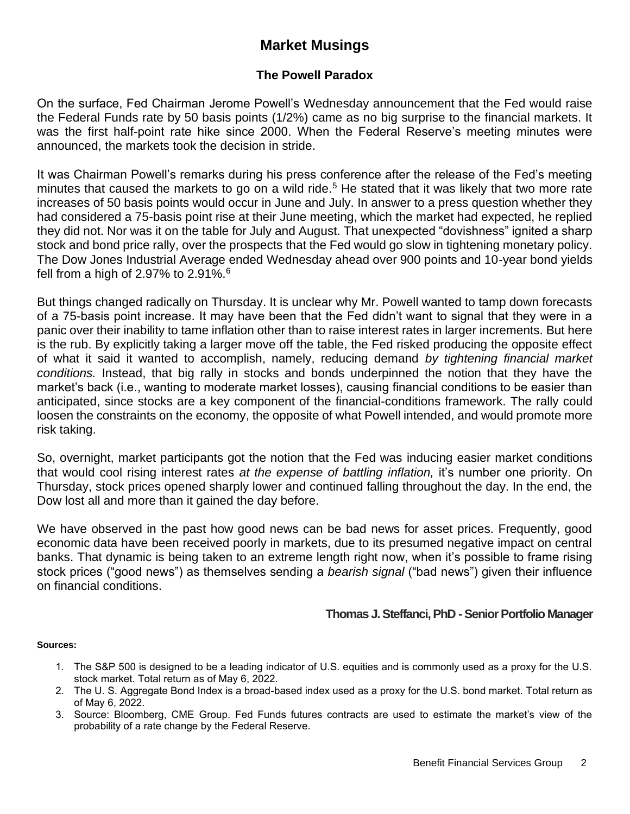## **Market Musings**

## **The Powell Paradox**

On the surface, Fed Chairman Jerome Powell's Wednesday announcement that the Fed would raise the Federal Funds rate by 50 basis points (1/2%) came as no big surprise to the financial markets. It was the first half-point rate hike since 2000. When the Federal Reserve's meeting minutes were announced, the markets took the decision in stride.

It was Chairman Powell's remarks during his press conference after the release of the Fed's meeting minutes that caused the markets to go on a wild ride.<sup>5</sup> He stated that it was likely that two more rate increases of 50 basis points would occur in June and July. In answer to a press question whether they had considered a 75-basis point rise at their June meeting, which the market had expected, he replied they did not. Nor was it on the table for July and August. That unexpected "dovishness" ignited a sharp stock and bond price rally, over the prospects that the Fed would go slow in tightening monetary policy. The Dow Jones Industrial Average ended Wednesday ahead over 900 points and 10-year bond yields fell from a high of 2.97% to  $2.91\%$ .<sup>6</sup>

But things changed radically on Thursday. It is unclear why Mr. Powell wanted to tamp down forecasts of a 75-basis point increase. It may have been that the Fed didn't want to signal that they were in a panic over their inability to tame inflation other than to raise interest rates in larger increments. But here is the rub. By explicitly taking a larger move off the table, the Fed risked producing the opposite effect of what it said it wanted to accomplish, namely, reducing demand *by tightening financial market conditions.* Instead, that big rally in stocks and bonds underpinned the notion that they have the market's back (i.e., wanting to moderate market losses), causing financial conditions to be easier than anticipated, since stocks are a key component of the financial-conditions framework. The rally could loosen the constraints on the economy, the opposite of what Powell intended, and would promote more risk taking.

So, overnight, market participants got the notion that the Fed was inducing easier market conditions that would cool rising interest rates *at the expense of battling inflation,* it's number one priority. On Thursday, stock prices opened sharply lower and continued falling throughout the day. In the end, the Dow lost all and more than it gained the day before.

We have observed in the past how good news can be bad news for asset prices. Frequently, good economic data have been received poorly in markets, due to its presumed negative impact on central banks. That dynamic is being taken to an extreme length right now, when it's possible to frame rising stock prices ("good news") as themselves sending a *bearish signal* ("bad news") given their influence on financial conditions.

### **Thomas J. Steffanci, PhD - Senior Portfolio Manager**

#### **Sources:**

- 1. The S&P 500 is designed to be a leading indicator of U.S. equities and is commonly used as a proxy for the U.S. stock market. Total return as of May 6, 2022.
- 2. The U. S. Aggregate Bond Index is a broad-based index used as a proxy for the U.S. bond market. Total return as of May 6, 2022.
- 3. Source: Bloomberg, CME Group. Fed Funds futures contracts are used to estimate the market's view of the probability of a rate change by the Federal Reserve.